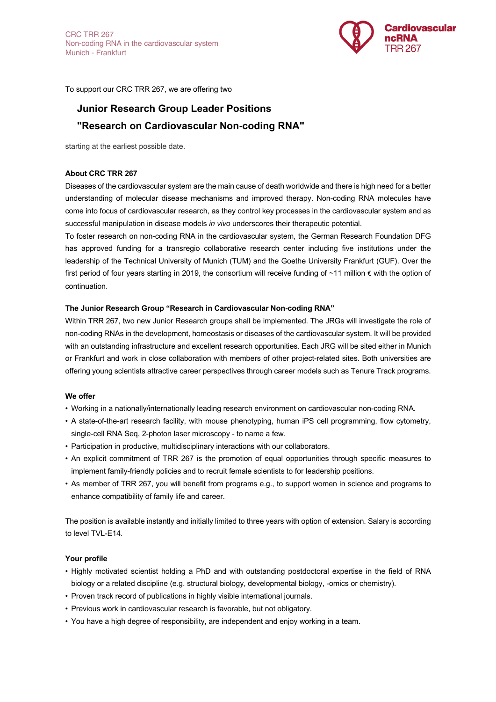

To support our CRC TRR 267, we are offering two

# **Junior Research Group Leader Positions "Research on Cardiovascular Non-coding RNA"**

starting at the earliest possible date.

# **About CRC TRR 267**

Diseases of the cardiovascular system are the main cause of death worldwide and there is high need for a better understanding of molecular disease mechanisms and improved therapy. Non-coding RNA molecules have come into focus of cardiovascular research, as they control key processes in the cardiovascular system and as successful manipulation in disease models *in vivo* underscores their therapeutic potential.

To foster research on non-coding RNA in the cardiovascular system, the German Research Foundation DFG has approved funding for a transregio collaborative research center including five institutions under the leadership of the Technical University of Munich (TUM) and the Goethe University Frankfurt (GUF). Over the first period of four years starting in 2019, the consortium will receive funding of ~11 million € with the option of continuation.

## **The Junior Research Group "Research in Cardiovascular Non-coding RNA"**

Within TRR 267, two new Junior Research groups shall be implemented. The JRGs will investigate the role of non-coding RNAs in the development, homeostasis or diseases of the cardiovascular system. It will be provided with an outstanding infrastructure and excellent research opportunities. Each JRG will be sited either in Munich or Frankfurt and work in close collaboration with members of other project-related sites. Both universities are offering young scientists attractive career perspectives through career models such as Tenure Track programs.

# **We offer**

- ! Working in a nationally/internationally leading research environment on cardiovascular non-coding RNA.
- ! A state-of-the-art research facility, with mouse phenotyping, human iPS cell programming, flow cytometry, single-cell RNA Seq, 2-photon laser microscopy - to name a few.
- ! Participation in productive, multidisciplinary interactions with our collaborators.
- ! An explicit commitment of TRR 267 is the promotion of equal opportunities through specific measures to implement family-friendly policies and to recruit female scientists to for leadership positions.
- ! As member of TRR 267, you will benefit from programs e.g., to support women in science and programs to enhance compatibility of family life and career.

The position is available instantly and initially limited to three years with option of extension. Salary is according to level TVL-E14.

#### **Your profile**

- ! Highly motivated scientist holding a PhD and with outstanding postdoctoral expertise in the field of RNA biology or a related discipline (e.g. structural biology, developmental biology, -omics or chemistry).
- ! Proven track record of publications in highly visible international journals.
- ! Previous work in cardiovascular research is favorable, but not obligatory.
- ! You have a high degree of responsibility, are independent and enjoy working in a team.